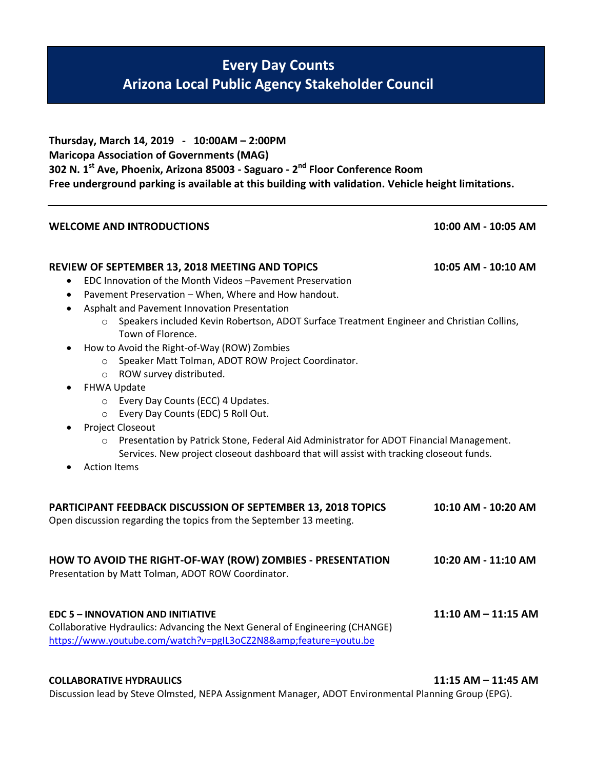## **Every Day Counts Arizona Local Public Agency Stakeholder Council**

**Thursday, March 14, 2019 - 10:00AM – 2:00PM Maricopa Association of Governments (MAG) 302 N. 1st Ave, Phoenix, Arizona 85003 - Saguaro - 2 nd Floor Conference Room Free underground parking is available at this building with validation. Vehicle height limitations.**

## **WELCOME AND INTRODUCTIONS 10:00 AM - 10:05 AM**

## **REVIEW OF SEPTEMBER 13, 2018 MEETING AND TOPICS 10:05 AM - 10:10 AM**

- EDC Innovation of the Month Videos –Pavement Preservation
- Pavement Preservation When, Where and How handout.
- Asphalt and Pavement Innovation Presentation
	- o Speakers included Kevin Robertson, ADOT Surface Treatment Engineer and Christian Collins, Town of Florence.
- How to Avoid the Right-of-Way (ROW) Zombies
	- o Speaker Matt Tolman, ADOT ROW Project Coordinator.
	- o ROW survey distributed.
- FHWA Update
	- o Every Day Counts (ECC) 4 Updates.
	- o Every Day Counts (EDC) 5 Roll Out.
- Project Closeout
	- o Presentation by Patrick Stone, Federal Aid Administrator for ADOT Financial Management. Services. New project closeout dashboard that will assist with tracking closeout funds.
- Action Items

| PARTICIPANT FEEDBACK DISCUSSION OF SEPTEMBER 13, 2018 TOPICS<br>Open discussion regarding the topics from the September 13 meeting.                                                      | 10:10 AM - 10:20 AM     |
|------------------------------------------------------------------------------------------------------------------------------------------------------------------------------------------|-------------------------|
| HOW TO AVOID THE RIGHT-OF-WAY (ROW) ZOMBIES - PRESENTATION<br>Presentation by Matt Tolman, ADOT ROW Coordinator.                                                                         | 10:20 AM - 11:10 AM     |
| <b>EDC 5 - INNOVATION AND INITIATIVE</b><br>Collaborative Hydraulics: Advancing the Next General of Engineering (CHANGE)<br>https://www.youtube.com/watch?v=pgIL3oCZ2N8&feature=youtu.be | $11:10$ AM $-$ 11:15 AM |

## **COLLABORATIVE HYDRAULICS 11:15 AM – 11:45 AM**

Discussion lead by Steve Olmsted, NEPA Assignment Manager, ADOT Environmental Planning Group (EPG).